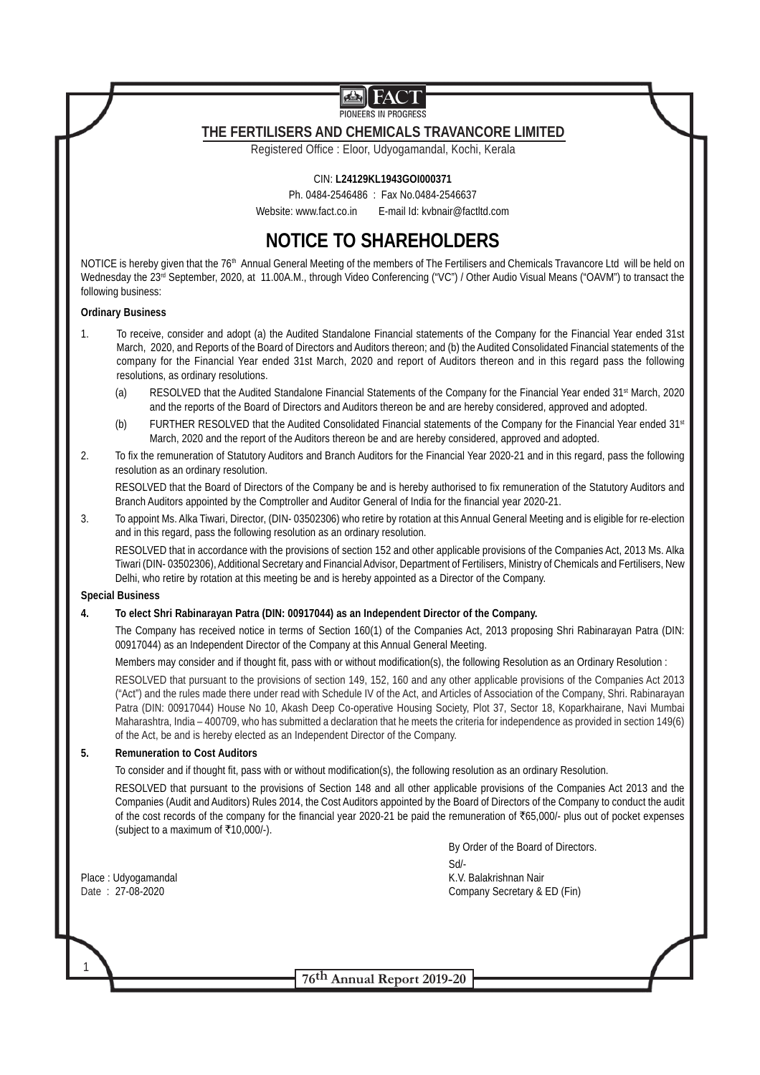PIONEERS IN PROGRESS

# **THE FERTILISERS AND CHEMICALS TRAVANCORE LIMITED**

Registered Office : Eloor, Udyogamandal, Kochi, Kerala

# CIN: **L24129KL1943GOI000371**

Ph. 0484-2546486 : Fax No.0484-2546637 Website: www.fact.co.in E-mail Id: kvbnair@factltd.com

# **NOTICE TO SHAREHOLDERS**

NOTICE is hereby given that the 76<sup>th</sup> Annual General Meeting of the members of The Fertilisers and Chemicals Travancore Ltd will be held on Wednesday the 23<sup>rd</sup> September, 2020, at 11.00A.M., through Video Conferencing ("VC") / Other Audio Visual Means ("OAVM") to transact the following business:

### **Ordinary Business**

- 1. To receive, consider and adopt (a) the Audited Standalone Financial statements of the Company for the Financial Year ended 31st March, 2020, and Reports of the Board of Directors and Auditors thereon; and (b) the Audited Consolidated Financial statements of the company for the Financial Year ended 31st March, 2020 and report of Auditors thereon and in this regard pass the following resolutions, as ordinary resolutions.
	- (a) RESOLVED that the Audited Standalone Financial Statements of the Company for the Financial Year ended 31<sup>st</sup> March, 2020 and the reports of the Board of Directors and Auditors thereon be and are hereby considered, approved and adopted.
	- (b) FURTHER RESOLVED that the Audited Consolidated Financial statements of the Company for the Financial Year ended 31st March, 2020 and the report of the Auditors thereon be and are hereby considered, approved and adopted.
- 2. To fix the remuneration of Statutory Auditors and Branch Auditors for the Financial Year 2020-21 and in this regard, pass the following resolution as an ordinary resolution.

RESOLVED that the Board of Directors of the Company be and is hereby authorised to fix remuneration of the Statutory Auditors and Branch Auditors appointed by the Comptroller and Auditor General of India for the financial year 2020-21.

3. To appoint Ms. Alka Tiwari, Director, (DIN- 03502306) who retire by rotation at this Annual General Meeting and is eligible for re-election and in this regard, pass the following resolution as an ordinary resolution.

RESOLVED that in accordance with the provisions of section 152 and other applicable provisions of the Companies Act, 2013 Ms. Alka Tiwari (DIN- 03502306), Additional Secretary and Financial Advisor, Department of Fertilisers, Ministry of Chemicals and Fertilisers, New Delhi, who retire by rotation at this meeting be and is hereby appointed as a Director of the Company.

# **Special Business**

# **4. To elect Shri Rabinarayan Patra (DIN: 00917044) as an Independent Director of the Company.**

The Company has received notice in terms of Section 160(1) of the Companies Act, 2013 proposing Shri Rabinarayan Patra (DIN: 00917044) as an Independent Director of the Company at this Annual General Meeting.

Members may consider and if thought fit, pass with or without modification(s), the following Resolution as an Ordinary Resolution :

RESOLVED that pursuant to the provisions of section 149, 152, 160 and any other applicable provisions of the Companies Act 2013 ("Act") and the rules made there under read with Schedule IV of the Act, and Articles of Association of the Company, Shri. Rabinarayan Patra (DIN: 00917044) House No 10, Akash Deep Co-operative Housing Society, Plot 37, Sector 18, Koparkhairane, Navi Mumbai Maharashtra, India – 400709, who has submitted a declaration that he meets the criteria for independence as provided in section 149(6) of the Act, be and is hereby elected as an Independent Director of the Company.

# **5. Remuneration to Cost Auditors**

To consider and if thought fit, pass with or without modification(s), the following resolution as an ordinary Resolution.

RESOLVED that pursuant to the provisions of Section 148 and all other applicable provisions of the Companies Act 2013 and the Companies (Audit and Auditors) Rules 2014, the Cost Auditors appointed by the Board of Directors of the Company to conduct the audit of the cost records of the company for the financial year 2020-21 be paid the remuneration of `65,000/- plus out of pocket expenses (subject to a maximum of  $\overline{\tau}10,000/-$ ).

1

By Order of the Board of Directors. Sd/- Place : Udyogamandal K.V. Balakrishnan Nair Date : 27-08-2020 Company Secretary & ED (Fin)

**76th Annual Report 2019-20**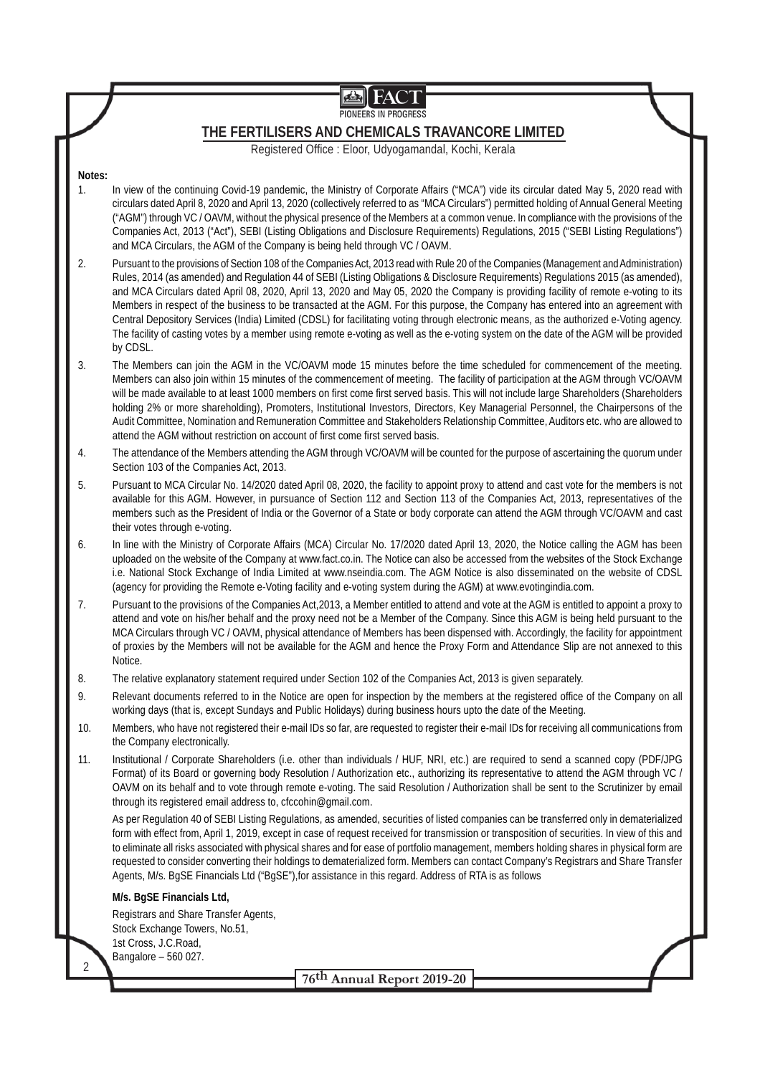PIONEERS IN PROGRESS

# **THE FERTILISERS AND CHEMICALS TRAVANCORE LIMITED**

Registered Office : Eloor, Udyogamandal, Kochi, Kerala

# **Notes:**

- 1. In view of the continuing Covid-19 pandemic, the Ministry of Corporate Affairs ("MCA") vide its circular dated May 5, 2020 read with circulars dated April 8, 2020 and April 13, 2020 (collectively referred to as "MCA Circulars") permitted holding of Annual General Meeting ("AGM") through VC / OAVM, without the physical presence of the Members at a common venue. In compliance with the provisions of the Companies Act, 2013 ("Act"), SEBI (Listing Obligations and Disclosure Requirements) Regulations, 2015 ("SEBI Listing Regulations") and MCA Circulars, the AGM of the Company is being held through VC / OAVM.
- 2. Pursuant to the provisions of Section 108 of the Companies Act, 2013 read with Rule 20 of the Companies (Management and Administration) Rules, 2014 (as amended) and Regulation 44 of SEBI (Listing Obligations & Disclosure Requirements) Regulations 2015 (as amended), and MCA Circulars dated April 08, 2020, April 13, 2020 and May 05, 2020 the Company is providing facility of remote e-voting to its Members in respect of the business to be transacted at the AGM. For this purpose, the Company has entered into an agreement with Central Depository Services (India) Limited (CDSL) for facilitating voting through electronic means, as the authorized e-Voting agency. The facility of casting votes by a member using remote e-voting as well as the e-voting system on the date of the AGM will be provided by CDSL.
- 3. The Members can join the AGM in the VC/OAVM mode 15 minutes before the time scheduled for commencement of the meeting. Members can also join within 15 minutes of the commencement of meeting. The facility of participation at the AGM through VC/OAVM will be made available to at least 1000 members on first come first served basis. This will not include large Shareholders (Shareholders holding 2% or more shareholding), Promoters, Institutional Investors, Directors, Key Managerial Personnel, the Chairpersons of the Audit Committee, Nomination and Remuneration Committee and Stakeholders Relationship Committee, Auditors etc. who are allowed to attend the AGM without restriction on account of first come first served basis.
- 4. The attendance of the Members attending the AGM through VC/OAVM will be counted for the purpose of ascertaining the quorum under Section 103 of the Companies Act, 2013.
- 5. Pursuant to MCA Circular No. 14/2020 dated April 08, 2020, the facility to appoint proxy to attend and cast vote for the members is not available for this AGM. However, in pursuance of Section 112 and Section 113 of the Companies Act, 2013, representatives of the members such as the President of India or the Governor of a State or body corporate can attend the AGM through VC/OAVM and cast their votes through e-voting.
- 6. In line with the Ministry of Corporate Affairs (MCA) Circular No. 17/2020 dated April 13, 2020, the Notice calling the AGM has been uploaded on the website of the Company at www.fact.co.in. The Notice can also be accessed from the websites of the Stock Exchange i.e. National Stock Exchange of India Limited at www.nseindia.com. The AGM Notice is also disseminated on the website of CDSL (agency for providing the Remote e-Voting facility and e-voting system during the AGM) at www.evotingindia.com.
- 7. Pursuant to the provisions of the Companies Act,2013, a Member entitled to attend and vote at the AGM is entitled to appoint a proxy to attend and vote on his/her behalf and the proxy need not be a Member of the Company. Since this AGM is being held pursuant to the MCA Circulars through VC / OAVM, physical attendance of Members has been dispensed with. Accordingly, the facility for appointment of proxies by the Members will not be available for the AGM and hence the Proxy Form and Attendance Slip are not annexed to this Notice.
- 8. The relative explanatory statement required under Section 102 of the Companies Act, 2013 is given separately.
- 9. Relevant documents referred to in the Notice are open for inspection by the members at the registered office of the Company on all working days (that is, except Sundays and Public Holidays) during business hours upto the date of the Meeting.
- 10. Members, who have not registered their e-mail IDs so far, are requested to register their e-mail IDs for receiving all communications from the Company electronically.
- 11. Institutional / Corporate Shareholders (i.e. other than individuals / HUF, NRI, etc.) are required to send a scanned copy (PDF/JPG Format) of its Board or governing body Resolution / Authorization etc., authorizing its representative to attend the AGM through VC / OAVM on its behalf and to vote through remote e-voting. The said Resolution / Authorization shall be sent to the Scrutinizer by email through its registered email address to, cfccohin@gmail.com.

As per Regulation 40 of SEBI Listing Regulations, as amended, securities of listed companies can be transferred only in dematerialized form with effect from, April 1, 2019, except in case of request received for transmission or transposition of securities. In view of this and to eliminate all risks associated with physical shares and for ease of portfolio management, members holding shares in physical form are requested to consider converting their holdings to dematerialized form. Members can contact Company's Registrars and Share Transfer Agents, M/s. BgSE Financials Ltd ("BgSE"),for assistance in this regard. Address of RTA is as follows

# **M/s. BgSE Financials Ltd,**

2

Registrars and Share Transfer Agents, Stock Exchange Towers, No.51, 1st Cross, J.C.Road, Bangalore – 560 027.

**76th Annual Report 2019-20**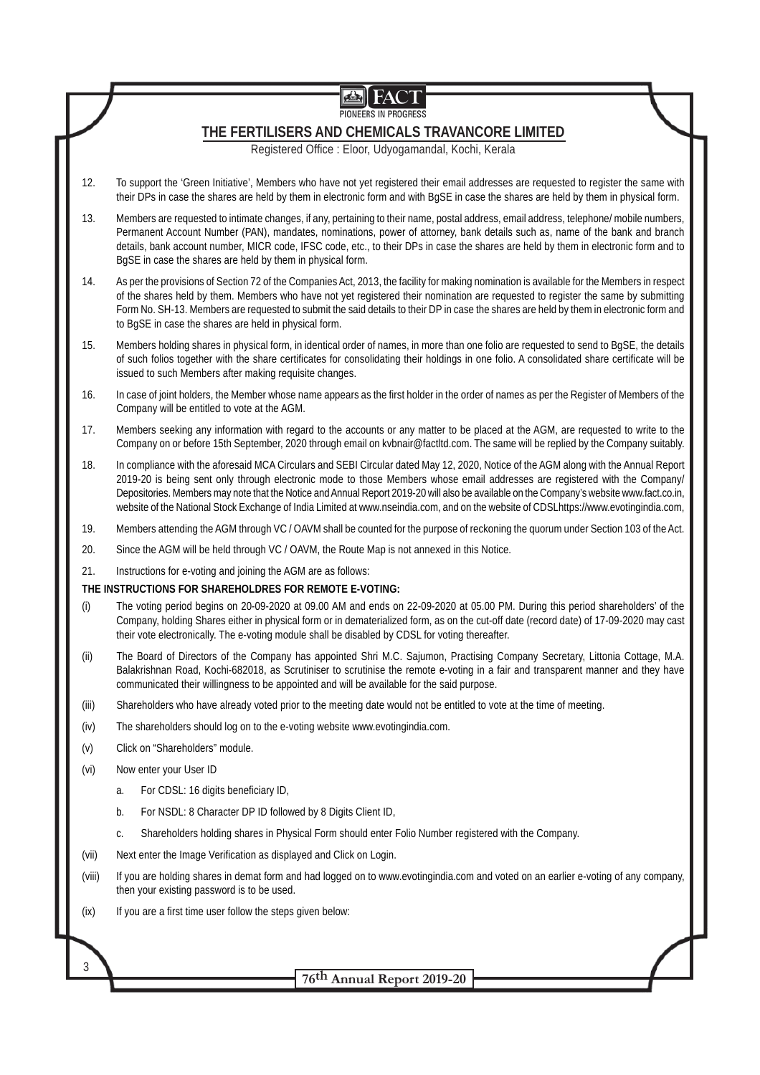|        | <b>FACT</b><br>✍<br>PIONEERS IN PROGRESS                                                                                                                                                                                                                                                                                                                                                                                                                                                                                                              |  |  |  |  |
|--------|-------------------------------------------------------------------------------------------------------------------------------------------------------------------------------------------------------------------------------------------------------------------------------------------------------------------------------------------------------------------------------------------------------------------------------------------------------------------------------------------------------------------------------------------------------|--|--|--|--|
|        | THE FERTILISERS AND CHEMICALS TRAVANCORE LIMITED<br>Registered Office : Eloor, Udyogamandal, Kochi, Kerala                                                                                                                                                                                                                                                                                                                                                                                                                                            |  |  |  |  |
| 12.    | To support the 'Green Initiative', Members who have not yet registered their email addresses are requested to register the same with<br>their DPs in case the shares are held by them in electronic form and with BgSE in case the shares are held by them in physical form.                                                                                                                                                                                                                                                                          |  |  |  |  |
| 13.    | Members are requested to intimate changes, if any, pertaining to their name, postal address, email address, telephone/mobile numbers,<br>Permanent Account Number (PAN), mandates, nominations, power of attorney, bank details such as, name of the bank and branch<br>details, bank account number, MICR code, IFSC code, etc., to their DPs in case the shares are held by them in electronic form and to<br>BgSE in case the shares are held by them in physical form.                                                                            |  |  |  |  |
| 14.    | As per the provisions of Section 72 of the Companies Act, 2013, the facility for making nomination is available for the Members in respect<br>of the shares held by them. Members who have not yet registered their nomination are requested to register the same by submitting<br>Form No. SH-13. Members are requested to submit the said details to their DP in case the shares are held by them in electronic form and<br>to BqSE in case the shares are held in physical form.                                                                   |  |  |  |  |
| 15.    | Members holding shares in physical form, in identical order of names, in more than one folio are requested to send to BgSE, the details<br>of such folios together with the share certificates for consolidating their holdings in one folio. A consolidated share certificate will be<br>issued to such Members after making requisite changes.                                                                                                                                                                                                      |  |  |  |  |
| 16.    | In case of joint holders, the Member whose name appears as the first holder in the order of names as per the Register of Members of the<br>Company will be entitled to vote at the AGM.                                                                                                                                                                                                                                                                                                                                                               |  |  |  |  |
| 17.    | Members seeking any information with regard to the accounts or any matter to be placed at the AGM, are requested to write to the<br>Company on or before 15th September, 2020 through email on kvbnair@factItd.com. The same will be replied by the Company suitably.                                                                                                                                                                                                                                                                                 |  |  |  |  |
| 18.    | In compliance with the aforesaid MCA Circulars and SEBI Circular dated May 12, 2020, Notice of the AGM along with the Annual Report<br>2019-20 is being sent only through electronic mode to those Members whose email addresses are registered with the Company/<br>Depositories. Members may note that the Notice and Annual Report 2019-20 will also be available on the Company's website www.fact.co.in,<br>website of the National Stock Exchange of India Limited at www.nseindia.com, and on the website of CDSLhttps://www.evotingindia.com, |  |  |  |  |
| 19.    | Members attending the AGM through VC / OAVM shall be counted for the purpose of reckoning the quorum under Section 103 of the Act.                                                                                                                                                                                                                                                                                                                                                                                                                    |  |  |  |  |
| 20.    | Since the AGM will be held through VC / OAVM, the Route Map is not annexed in this Notice.                                                                                                                                                                                                                                                                                                                                                                                                                                                            |  |  |  |  |
| 21.    | Instructions for e-voting and joining the AGM are as follows:                                                                                                                                                                                                                                                                                                                                                                                                                                                                                         |  |  |  |  |
|        | THE INSTRUCTIONS FOR SHAREHOLDRES FOR REMOTE E-VOTING:                                                                                                                                                                                                                                                                                                                                                                                                                                                                                                |  |  |  |  |
| (i)    | The voting period begins on 20-09-2020 at 09.00 AM and ends on 22-09-2020 at 05.00 PM. During this period shareholders' of the<br>Company, holding Shares either in physical form or in dematerialized form, as on the cut-off date (record date) of 17-09-2020 may cast<br>their vote electronically. The e-voting module shall be disabled by CDSL for voting thereafter.                                                                                                                                                                           |  |  |  |  |
| (ii)   | The Board of Directors of the Company has appointed Shri M.C. Sajumon, Practising Company Secretary, Littonia Cottage, M.A.<br>Balakrishnan Road, Kochi-682018, as Scrutiniser to scrutinise the remote e-voting in a fair and transparent manner and they have<br>communicated their willingness to be appointed and will be available for the said purpose.                                                                                                                                                                                         |  |  |  |  |
| (iii)  | Shareholders who have already voted prior to the meeting date would not be entitled to vote at the time of meeting.                                                                                                                                                                                                                                                                                                                                                                                                                                   |  |  |  |  |
| (iv)   | The shareholders should log on to the e-voting website www.evotingindia.com.                                                                                                                                                                                                                                                                                                                                                                                                                                                                          |  |  |  |  |
| (v)    | Click on "Shareholders" module.                                                                                                                                                                                                                                                                                                                                                                                                                                                                                                                       |  |  |  |  |
| (vi)   | Now enter your User ID                                                                                                                                                                                                                                                                                                                                                                                                                                                                                                                                |  |  |  |  |
|        | For CDSL: 16 digits beneficiary ID,<br>a.                                                                                                                                                                                                                                                                                                                                                                                                                                                                                                             |  |  |  |  |
|        | For NSDL: 8 Character DP ID followed by 8 Digits Client ID,<br>b.                                                                                                                                                                                                                                                                                                                                                                                                                                                                                     |  |  |  |  |
|        | Shareholders holding shares in Physical Form should enter Folio Number registered with the Company.<br>C.                                                                                                                                                                                                                                                                                                                                                                                                                                             |  |  |  |  |
| (vii)  | Next enter the Image Verification as displayed and Click on Login.                                                                                                                                                                                                                                                                                                                                                                                                                                                                                    |  |  |  |  |
| (viii) | If you are holding shares in demat form and had logged on to www.evotingindia.com and voted on an earlier e-voting of any company,<br>then your existing password is to be used.                                                                                                                                                                                                                                                                                                                                                                      |  |  |  |  |
| (ix)   | If you are a first time user follow the steps given below:                                                                                                                                                                                                                                                                                                                                                                                                                                                                                            |  |  |  |  |
|        |                                                                                                                                                                                                                                                                                                                                                                                                                                                                                                                                                       |  |  |  |  |
| 3      | 76 <sup>th</sup> Annual Report 2019-20                                                                                                                                                                                                                                                                                                                                                                                                                                                                                                                |  |  |  |  |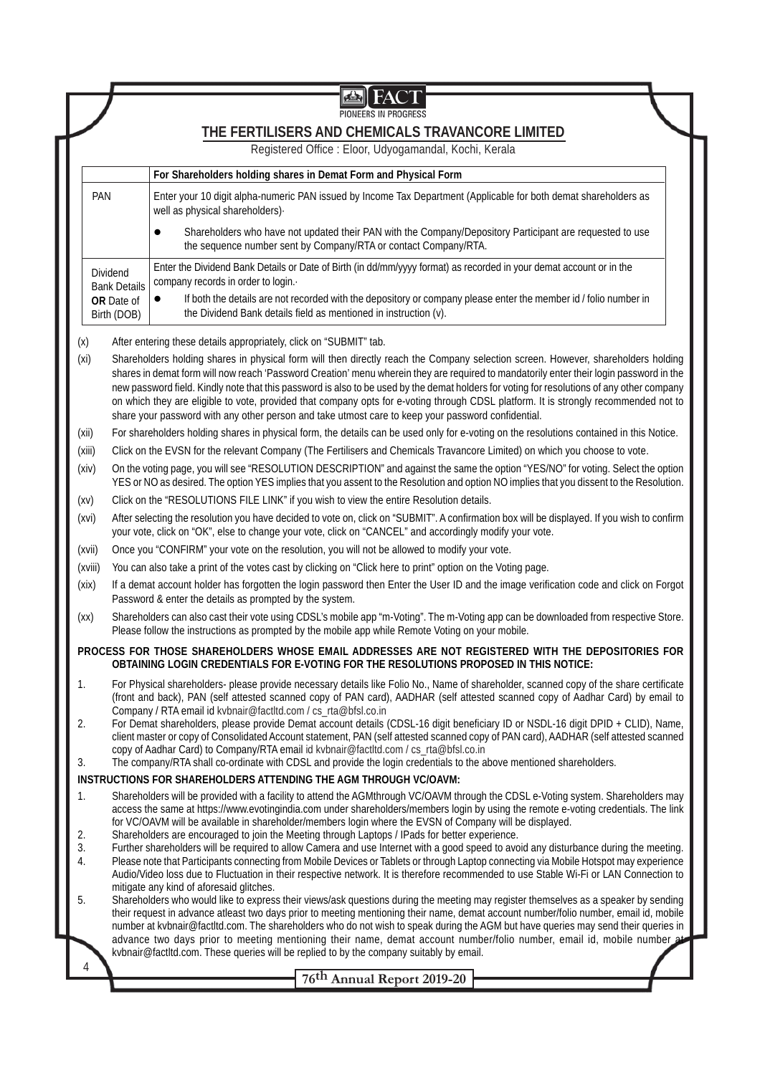|                                                                                                                                                                                                                                                                                                                                                                                                                                                                                                                                                                                                                                                                                               |                                                                                                                                                                                                                                                                                                                                                                                                                                                                | PIONEERS IN PROGRESS                                                                                                                                                                                                                                                         |  |  |  |  |
|-----------------------------------------------------------------------------------------------------------------------------------------------------------------------------------------------------------------------------------------------------------------------------------------------------------------------------------------------------------------------------------------------------------------------------------------------------------------------------------------------------------------------------------------------------------------------------------------------------------------------------------------------------------------------------------------------|----------------------------------------------------------------------------------------------------------------------------------------------------------------------------------------------------------------------------------------------------------------------------------------------------------------------------------------------------------------------------------------------------------------------------------------------------------------|------------------------------------------------------------------------------------------------------------------------------------------------------------------------------------------------------------------------------------------------------------------------------|--|--|--|--|
|                                                                                                                                                                                                                                                                                                                                                                                                                                                                                                                                                                                                                                                                                               |                                                                                                                                                                                                                                                                                                                                                                                                                                                                | THE FERTILISERS AND CHEMICALS TRAVANCORE LIMITED                                                                                                                                                                                                                             |  |  |  |  |
|                                                                                                                                                                                                                                                                                                                                                                                                                                                                                                                                                                                                                                                                                               |                                                                                                                                                                                                                                                                                                                                                                                                                                                                | Registered Office : Eloor, Udyogamandal, Kochi, Kerala                                                                                                                                                                                                                       |  |  |  |  |
|                                                                                                                                                                                                                                                                                                                                                                                                                                                                                                                                                                                                                                                                                               |                                                                                                                                                                                                                                                                                                                                                                                                                                                                | For Shareholders holding shares in Demat Form and Physical Form                                                                                                                                                                                                              |  |  |  |  |
| PAN                                                                                                                                                                                                                                                                                                                                                                                                                                                                                                                                                                                                                                                                                           |                                                                                                                                                                                                                                                                                                                                                                                                                                                                | Enter your 10 digit alpha-numeric PAN issued by Income Tax Department (Applicable for both demat shareholders as<br>well as physical shareholders).                                                                                                                          |  |  |  |  |
|                                                                                                                                                                                                                                                                                                                                                                                                                                                                                                                                                                                                                                                                                               |                                                                                                                                                                                                                                                                                                                                                                                                                                                                | Shareholders who have not updated their PAN with the Company/Depository Participant are requested to use<br>the sequence number sent by Company/RTA or contact Company/RTA.                                                                                                  |  |  |  |  |
|                                                                                                                                                                                                                                                                                                                                                                                                                                                                                                                                                                                                                                                                                               | Dividend<br><b>Bank Details</b>                                                                                                                                                                                                                                                                                                                                                                                                                                | Enter the Dividend Bank Details or Date of Birth (in dd/mm/yyyy format) as recorded in your demat account or in the<br>company records in order to login.                                                                                                                    |  |  |  |  |
|                                                                                                                                                                                                                                                                                                                                                                                                                                                                                                                                                                                                                                                                                               | OR Date of<br>Birth (DOB)                                                                                                                                                                                                                                                                                                                                                                                                                                      | If both the details are not recorded with the depository or company please enter the member id / folio number in<br>$\bullet$<br>the Dividend Bank details field as mentioned in instruction (v).                                                                            |  |  |  |  |
| (x)                                                                                                                                                                                                                                                                                                                                                                                                                                                                                                                                                                                                                                                                                           |                                                                                                                                                                                                                                                                                                                                                                                                                                                                | After entering these details appropriately, click on "SUBMIT" tab.                                                                                                                                                                                                           |  |  |  |  |
| Shareholders holding shares in physical form will then directly reach the Company selection screen. However, shareholders holding<br>(x <sub>i</sub> )<br>shares in demat form will now reach 'Password Creation' menu wherein they are required to mandatorily enter their login password in the<br>new password field. Kindly note that this password is also to be used by the demat holders for voting for resolutions of any other company<br>on which they are eligible to vote, provided that company opts for e-voting through CDSL platform. It is strongly recommended not to<br>share your password with any other person and take utmost care to keep your password confidential. |                                                                                                                                                                                                                                                                                                                                                                                                                                                                |                                                                                                                                                                                                                                                                              |  |  |  |  |
| (xii)                                                                                                                                                                                                                                                                                                                                                                                                                                                                                                                                                                                                                                                                                         |                                                                                                                                                                                                                                                                                                                                                                                                                                                                | For shareholders holding shares in physical form, the details can be used only for e-voting on the resolutions contained in this Notice.                                                                                                                                     |  |  |  |  |
| (xiii)                                                                                                                                                                                                                                                                                                                                                                                                                                                                                                                                                                                                                                                                                        |                                                                                                                                                                                                                                                                                                                                                                                                                                                                | Click on the EVSN for the relevant Company (The Fertilisers and Chemicals Travancore Limited) on which you choose to vote.                                                                                                                                                   |  |  |  |  |
| (xiv)                                                                                                                                                                                                                                                                                                                                                                                                                                                                                                                                                                                                                                                                                         |                                                                                                                                                                                                                                                                                                                                                                                                                                                                | On the voting page, you will see "RESOLUTION DESCRIPTION" and against the same the option "YES/NO" for voting. Select the option<br>YES or NO as desired. The option YES implies that you assent to the Resolution and option NO implies that you dissent to the Resolution. |  |  |  |  |
| (xv)                                                                                                                                                                                                                                                                                                                                                                                                                                                                                                                                                                                                                                                                                          |                                                                                                                                                                                                                                                                                                                                                                                                                                                                | Click on the "RESOLUTIONS FILE LINK" if you wish to view the entire Resolution details.                                                                                                                                                                                      |  |  |  |  |
| After selecting the resolution you have decided to vote on, click on "SUBMIT". A confirmation box will be displayed. If you wish to confirm<br>(xvi)<br>your vote, click on "OK", else to change your vote, click on "CANCEL" and accordingly modify your vote.                                                                                                                                                                                                                                                                                                                                                                                                                               |                                                                                                                                                                                                                                                                                                                                                                                                                                                                |                                                                                                                                                                                                                                                                              |  |  |  |  |
| (xvii)                                                                                                                                                                                                                                                                                                                                                                                                                                                                                                                                                                                                                                                                                        | Once you "CONFIRM" your vote on the resolution, you will not be allowed to modify your vote.                                                                                                                                                                                                                                                                                                                                                                   |                                                                                                                                                                                                                                                                              |  |  |  |  |
| (xviii)                                                                                                                                                                                                                                                                                                                                                                                                                                                                                                                                                                                                                                                                                       |                                                                                                                                                                                                                                                                                                                                                                                                                                                                | You can also take a print of the votes cast by clicking on "Click here to print" option on the Voting page.                                                                                                                                                                  |  |  |  |  |
| (xix)                                                                                                                                                                                                                                                                                                                                                                                                                                                                                                                                                                                                                                                                                         | If a demat account holder has forgotten the login password then Enter the User ID and the image verification code and click on Forgot<br>Password & enter the details as prompted by the system.                                                                                                                                                                                                                                                               |                                                                                                                                                                                                                                                                              |  |  |  |  |
| (xx)                                                                                                                                                                                                                                                                                                                                                                                                                                                                                                                                                                                                                                                                                          | Shareholders can also cast their vote using CDSL's mobile app "m-Voting". The m-Voting app can be downloaded from respective Store.<br>Please follow the instructions as prompted by the mobile app while Remote Voting on your mobile.                                                                                                                                                                                                                        |                                                                                                                                                                                                                                                                              |  |  |  |  |
|                                                                                                                                                                                                                                                                                                                                                                                                                                                                                                                                                                                                                                                                                               |                                                                                                                                                                                                                                                                                                                                                                                                                                                                | PROCESS FOR THOSE SHAREHOLDERS WHOSE EMAIL ADDRESSES ARE NOT REGISTERED WITH THE DEPOSITORIES FOR<br>OBTAINING LOGIN CREDENTIALS FOR E-VOTING FOR THE RESOLUTIONS PROPOSED IN THIS NOTICE:                                                                                   |  |  |  |  |
| 1.                                                                                                                                                                                                                                                                                                                                                                                                                                                                                                                                                                                                                                                                                            | For Physical shareholders- please provide necessary details like Folio No., Name of shareholder, scanned copy of the share certificate<br>(front and back), PAN (self attested scanned copy of PAN card), AADHAR (self attested scanned copy of Aadhar Card) by email to                                                                                                                                                                                       |                                                                                                                                                                                                                                                                              |  |  |  |  |
| 2.                                                                                                                                                                                                                                                                                                                                                                                                                                                                                                                                                                                                                                                                                            | Company / RTA email id kvbnair@factltd.com / cs_rta@bfsl.co.in<br>For Demat shareholders, please provide Demat account details (CDSL-16 digit beneficiary ID or NSDL-16 digit DPID + CLID), Name,<br>client master or copy of Consolidated Account statement, PAN (self attested scanned copy of PAN card), AADHAR (self attested scanned                                                                                                                      |                                                                                                                                                                                                                                                                              |  |  |  |  |
|                                                                                                                                                                                                                                                                                                                                                                                                                                                                                                                                                                                                                                                                                               |                                                                                                                                                                                                                                                                                                                                                                                                                                                                | copy of Aadhar Card) to Company/RTA email id kvbnair@factltd.com / cs_rta@bfsl.co.in<br>The company/RTA shall co-ordinate with CDSL and provide the login credentials to the above mentioned shareholders.                                                                   |  |  |  |  |
| 3.<br>INSTRUCTIONS FOR SHAREHOLDERS ATTENDING THE AGM THROUGH VC/OAVM:<br>Shareholders will be provided with a facility to attend the AGMthrough VC/OAVM through the CDSL e-Voting system. Shareholders may<br>1.                                                                                                                                                                                                                                                                                                                                                                                                                                                                             |                                                                                                                                                                                                                                                                                                                                                                                                                                                                |                                                                                                                                                                                                                                                                              |  |  |  |  |
|                                                                                                                                                                                                                                                                                                                                                                                                                                                                                                                                                                                                                                                                                               |                                                                                                                                                                                                                                                                                                                                                                                                                                                                |                                                                                                                                                                                                                                                                              |  |  |  |  |
| Shareholders are encouraged to join the Meeting through Laptops / IPads for better experience.<br>2.<br>3.<br>Further shareholders will be required to allow Camera and use Internet with a good speed to avoid any disturbance during the meeting.                                                                                                                                                                                                                                                                                                                                                                                                                                           |                                                                                                                                                                                                                                                                                                                                                                                                                                                                |                                                                                                                                                                                                                                                                              |  |  |  |  |
| 4.                                                                                                                                                                                                                                                                                                                                                                                                                                                                                                                                                                                                                                                                                            | Please note that Participants connecting from Mobile Devices or Tablets or through Laptop connecting via Mobile Hotspot may experience<br>Audio/Video loss due to Fluctuation in their respective network. It is therefore recommended to use Stable Wi-Fi or LAN Connection to                                                                                                                                                                                |                                                                                                                                                                                                                                                                              |  |  |  |  |
| 5.                                                                                                                                                                                                                                                                                                                                                                                                                                                                                                                                                                                                                                                                                            | mitigate any kind of aforesaid glitches.<br>Shareholders who would like to express their views/ask questions during the meeting may register themselves as a speaker by sending<br>their request in advance atleast two days prior to meeting mentioning their name, demat account number/folio number, email id, mobile<br>number at kvbnair@factltd.com. The shareholders who do not wish to speak during the AGM but have queries may send their queries in |                                                                                                                                                                                                                                                                              |  |  |  |  |
| advance two days prior to meeting mentioning their name, demat account number/folio number, email id, mobile number at<br>kvbnair@factltd.com. These queries will be replied to by the company suitably by email.                                                                                                                                                                                                                                                                                                                                                                                                                                                                             |                                                                                                                                                                                                                                                                                                                                                                                                                                                                |                                                                                                                                                                                                                                                                              |  |  |  |  |
| 4                                                                                                                                                                                                                                                                                                                                                                                                                                                                                                                                                                                                                                                                                             |                                                                                                                                                                                                                                                                                                                                                                                                                                                                | 76 <sup>th</sup> Annual Report 2019-20                                                                                                                                                                                                                                       |  |  |  |  |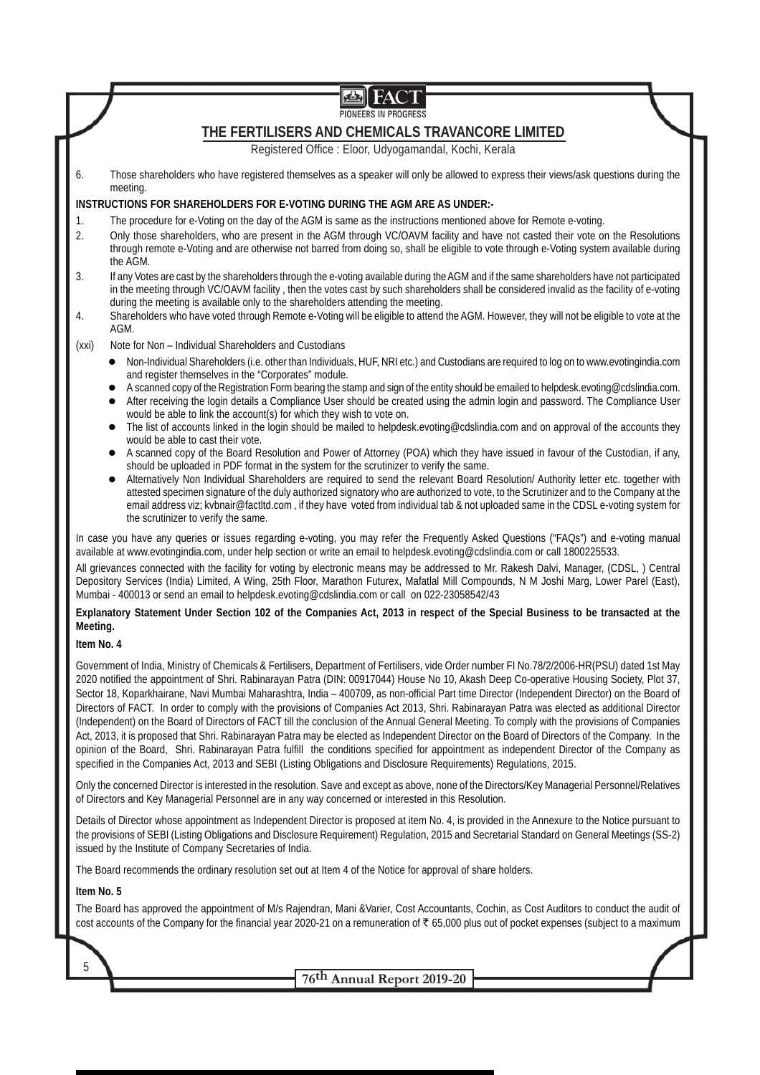| 画                                                                                                                                                                                                                                                                                                                                                                                                                                                                                                                                                                                                                                                                                                                                                                                                                                                                                                                                                                                                                                                                                                                                                           |  |  |  |  |
|-------------------------------------------------------------------------------------------------------------------------------------------------------------------------------------------------------------------------------------------------------------------------------------------------------------------------------------------------------------------------------------------------------------------------------------------------------------------------------------------------------------------------------------------------------------------------------------------------------------------------------------------------------------------------------------------------------------------------------------------------------------------------------------------------------------------------------------------------------------------------------------------------------------------------------------------------------------------------------------------------------------------------------------------------------------------------------------------------------------------------------------------------------------|--|--|--|--|
| PIONEERS IN PROGRESS                                                                                                                                                                                                                                                                                                                                                                                                                                                                                                                                                                                                                                                                                                                                                                                                                                                                                                                                                                                                                                                                                                                                        |  |  |  |  |
| THE FERTILISERS AND CHEMICALS TRAVANCORE LIMITED                                                                                                                                                                                                                                                                                                                                                                                                                                                                                                                                                                                                                                                                                                                                                                                                                                                                                                                                                                                                                                                                                                            |  |  |  |  |
| Registered Office : Eloor, Udyogamandal, Kochi, Kerala                                                                                                                                                                                                                                                                                                                                                                                                                                                                                                                                                                                                                                                                                                                                                                                                                                                                                                                                                                                                                                                                                                      |  |  |  |  |
| Those shareholders who have registered themselves as a speaker will only be allowed to express their views/ask questions during the<br>6.<br>meeting.                                                                                                                                                                                                                                                                                                                                                                                                                                                                                                                                                                                                                                                                                                                                                                                                                                                                                                                                                                                                       |  |  |  |  |
| <b>INSTRUCTIONS FOR SHAREHOLDERS FOR E-VOTING DURING THE AGM ARE AS UNDER:-</b>                                                                                                                                                                                                                                                                                                                                                                                                                                                                                                                                                                                                                                                                                                                                                                                                                                                                                                                                                                                                                                                                             |  |  |  |  |
| The procedure for e-Voting on the day of the AGM is same as the instructions mentioned above for Remote e-voting.<br>1.<br>Only those shareholders, who are present in the AGM through VC/OAVM facility and have not casted their vote on the Resolutions<br>2.<br>through remote e-Voting and are otherwise not barred from doing so, shall be eligible to vote through e-Voting system available during<br>the AGM.                                                                                                                                                                                                                                                                                                                                                                                                                                                                                                                                                                                                                                                                                                                                       |  |  |  |  |
| If any Votes are cast by the shareholders through the e-voting available during the AGM and if the same shareholders have not participated<br>3.<br>in the meeting through VC/OAVM facility, then the votes cast by such shareholders shall be considered invalid as the facility of e-voting<br>during the meeting is available only to the shareholders attending the meeting.<br>Shareholders who have voted through Remote e-Voting will be eligible to attend the AGM. However, they will not be eligible to vote at the<br>4.<br>AGM.                                                                                                                                                                                                                                                                                                                                                                                                                                                                                                                                                                                                                 |  |  |  |  |
| Note for Non - Individual Shareholders and Custodians<br>(xxi)                                                                                                                                                                                                                                                                                                                                                                                                                                                                                                                                                                                                                                                                                                                                                                                                                                                                                                                                                                                                                                                                                              |  |  |  |  |
| Non-Individual Shareholders (i.e. other than Individuals, HUF, NRI etc.) and Custodians are required to log on to www.evotingindia.com<br>$\bullet$<br>and register themselves in the "Corporates" module.<br>A scanned copy of the Registration Form bearing the stamp and sign of the entity should be emailed to helpdesk.evoting@cdslindia.com.<br>After receiving the login details a Compliance User should be created using the admin login and password. The Compliance User<br>$\bullet$<br>would be able to link the account(s) for which they wish to vote on.                                                                                                                                                                                                                                                                                                                                                                                                                                                                                                                                                                                   |  |  |  |  |
| The list of accounts linked in the login should be mailed to helpdesk.evoting@cdslindia.com and on approval of the accounts they<br>$\bullet$<br>would be able to cast their vote.<br>A scanned copy of the Board Resolution and Power of Attorney (POA) which they have issued in favour of the Custodian, if any,<br>should be uploaded in PDF format in the system for the scrutinizer to verify the same.                                                                                                                                                                                                                                                                                                                                                                                                                                                                                                                                                                                                                                                                                                                                               |  |  |  |  |
| Alternatively Non Individual Shareholders are required to send the relevant Board Resolution/Authority letter etc. together with<br>$\bullet$<br>attested specimen signature of the duly authorized signatory who are authorized to vote, to the Scrutinizer and to the Company at the<br>email address viz; kvbnair@factltd.com, if they have voted from individual tab & not uploaded same in the CDSL e-voting system for<br>the scrutinizer to verify the same.                                                                                                                                                                                                                                                                                                                                                                                                                                                                                                                                                                                                                                                                                         |  |  |  |  |
| In case you have any queries or issues regarding e-voting, you may refer the Frequently Asked Questions ("FAQs") and e-voting manual<br>available at www.evotingindia.com, under help section or write an email to helpdesk.evoting@cdslindia.com or call 1800225533.                                                                                                                                                                                                                                                                                                                                                                                                                                                                                                                                                                                                                                                                                                                                                                                                                                                                                       |  |  |  |  |
| All grievances connected with the facility for voting by electronic means may be addressed to Mr. Rakesh Dalvi, Manager, (CDSL, ) Central<br>Depository Services (India) Limited, A Wing, 25th Floor, Marathon Futurex, Mafatlal Mill Compounds, N M Joshi Marg, Lower Parel (East),<br>Mumbai - 400013 or send an email to helpdesk.evoting@cdslindia.com or call on 022-23058542/43                                                                                                                                                                                                                                                                                                                                                                                                                                                                                                                                                                                                                                                                                                                                                                       |  |  |  |  |
| Explanatory Statement Under Section 102 of the Companies Act, 2013 in respect of the Special Business to be transacted at the<br>Meeting.                                                                                                                                                                                                                                                                                                                                                                                                                                                                                                                                                                                                                                                                                                                                                                                                                                                                                                                                                                                                                   |  |  |  |  |
| Item No. 4                                                                                                                                                                                                                                                                                                                                                                                                                                                                                                                                                                                                                                                                                                                                                                                                                                                                                                                                                                                                                                                                                                                                                  |  |  |  |  |
| Government of India, Ministry of Chemicals & Fertilisers, Department of Fertilisers, vide Order number FI No.78/2/2006-HR(PSU) dated 1st May<br>2020 notified the appointment of Shri. Rabinarayan Patra (DIN: 00917044) House No 10, Akash Deep Co-operative Housing Society, Plot 37,<br>Sector 18, Koparkhairane, Navi Mumbai Maharashtra, India - 400709, as non-official Part time Director (Independent Director) on the Board of<br>Directors of FACT. In order to comply with the provisions of Companies Act 2013, Shri. Rabinarayan Patra was elected as additional Director<br>(Independent) on the Board of Directors of FACT till the conclusion of the Annual General Meeting. To comply with the provisions of Companies<br>Act, 2013, it is proposed that Shri. Rabinarayan Patra may be elected as Independent Director on the Board of Directors of the Company. In the<br>opinion of the Board, Shri. Rabinarayan Patra fulfill the conditions specified for appointment as independent Director of the Company as<br>specified in the Companies Act, 2013 and SEBI (Listing Obligations and Disclosure Requirements) Regulations, 2015. |  |  |  |  |
| Only the concerned Director is interested in the resolution. Save and except as above, none of the Directors/Key Managerial Personnel/Relatives<br>of Directors and Key Managerial Personnel are in any way concerned or interested in this Resolution.                                                                                                                                                                                                                                                                                                                                                                                                                                                                                                                                                                                                                                                                                                                                                                                                                                                                                                     |  |  |  |  |
| Details of Director whose appointment as Independent Director is proposed at item No. 4, is provided in the Annexure to the Notice pursuant to<br>the provisions of SEBI (Listing Obligations and Disclosure Requirement) Regulation, 2015 and Secretarial Standard on General Meetings (SS-2)<br>issued by the Institute of Company Secretaries of India.                                                                                                                                                                                                                                                                                                                                                                                                                                                                                                                                                                                                                                                                                                                                                                                                  |  |  |  |  |
| The Board recommends the ordinary resolution set out at Item 4 of the Notice for approval of share holders.                                                                                                                                                                                                                                                                                                                                                                                                                                                                                                                                                                                                                                                                                                                                                                                                                                                                                                                                                                                                                                                 |  |  |  |  |
| Item No. 5                                                                                                                                                                                                                                                                                                                                                                                                                                                                                                                                                                                                                                                                                                                                                                                                                                                                                                                                                                                                                                                                                                                                                  |  |  |  |  |
| The Board has approved the appointment of M/s Rajendran, Mani &Varier, Cost Accountants, Cochin, as Cost Auditors to conduct the audit of<br>cost accounts of the Company for the financial year 2020-21 on a remuneration of ₹ 65,000 plus out of pocket expenses (subject to a maximum                                                                                                                                                                                                                                                                                                                                                                                                                                                                                                                                                                                                                                                                                                                                                                                                                                                                    |  |  |  |  |
| 5                                                                                                                                                                                                                                                                                                                                                                                                                                                                                                                                                                                                                                                                                                                                                                                                                                                                                                                                                                                                                                                                                                                                                           |  |  |  |  |
| 76th Annual Report 2019-20                                                                                                                                                                                                                                                                                                                                                                                                                                                                                                                                                                                                                                                                                                                                                                                                                                                                                                                                                                                                                                                                                                                                  |  |  |  |  |